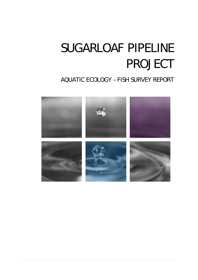# SUGARLOAF PIPELINE PROJECT

# AQUATIC ECOLOGY – FISH SURVEY REPORT

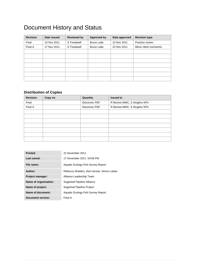# Document History and Status

| <b>Revision</b> | Date issued | <b>Reviewed by</b> | <b>Approved by</b> | Date approved | <b>Revision type</b>  |
|-----------------|-------------|--------------------|--------------------|---------------|-----------------------|
| Final           | 10 Nov 2011 | S Treadwell        | <b>Bruce Lade</b>  | 10 Nov 2011   | Practice review       |
| Final A         | 17 Nov 2011 | S Treadwell        | <b>Bruce Lade</b>  | 22 Nov 2011   | Minor client comments |
|                 |             |                    |                    |               |                       |
|                 |             |                    |                    |               |                       |
|                 |             |                    |                    |               |                       |
|                 |             |                    |                    |               |                       |
|                 |             |                    |                    |               |                       |
|                 |             |                    |                    |               |                       |
|                 |             |                    |                    |               |                       |

# **Distribution of Copies**

| <b>Revision</b> | Copy no | Quantity       | <b>Issued to</b>             |
|-----------------|---------|----------------|------------------------------|
| Final           |         | Electronic PDF | R Bennet MWC, S Singline SPA |
| Final A         |         | Electronic PDF | R Bennet MWC, S Singline SPA |
|                 |         |                |                              |
|                 |         |                |                              |
|                 |         |                |                              |
|                 |         |                |                              |
|                 |         |                |                              |
|                 |         |                |                              |
|                 |         |                |                              |

| Printed:              | 22 November 2011                            |
|-----------------------|---------------------------------------------|
| Last saved:           | 17 November 2011 04:56 PM                   |
| File name:            | Aquatic Ecology Fish Survey Report          |
| Author:               | Rebecca Sheldon, Dion Iervasi, Simon Lukies |
| Project manager:      | Alliance Leadership Team                    |
| Name of organisation: | Sugarloaf Pipeline Alliance                 |
| Name of project:      | <b>Sugarloaf Pipeline Project</b>           |
| Name of document:     | Aquatic Ecology Fish Survey Report          |
| Document version:     | Final A                                     |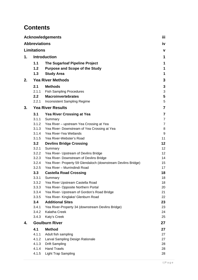# **Contents**

|    |                      | <b>Acknowledgements</b>                                       | iii.                    |
|----|----------------------|---------------------------------------------------------------|-------------------------|
|    | <b>Abbreviations</b> |                                                               | iv                      |
|    | <b>Limitations</b>   |                                                               | V                       |
| 1. |                      | <b>Introduction</b>                                           | 1                       |
|    | 1.1                  | <b>The Sugarloaf Pipeline Project</b>                         | 1                       |
|    | 1.2                  | <b>Purpose and Scope of the Study</b>                         | 1                       |
|    | 1.3                  | <b>Study Area</b>                                             | 1                       |
|    |                      |                                                               |                         |
| 2. |                      | <b>Yea River Methods</b>                                      | 3                       |
|    | 2.1                  | <b>Methods</b>                                                | 3                       |
|    | 2.1.1                | <b>Fish Sampling Procedures</b>                               | 3                       |
|    | 2.2                  | <b>Macroinvertebrates</b>                                     | 5                       |
|    | 2.2.1                | Inconsistent Sampling Regime                                  | 5                       |
| 3. |                      | <b>Yea River Results</b>                                      | $\overline{7}$          |
|    | 3.1                  | <b>Yea River Crossing at Yea</b>                              | $\overline{\mathbf{7}}$ |
|    | 3.1.1                | Summary                                                       | $\overline{7}$          |
|    | 3.1.2                | Yea River - upstream Yea Crossing at Yea                      | $\overline{7}$          |
|    | 3.1.3                | Yea River- Downstream of Yea Crossing at Yea                  | 8                       |
|    | 3.1.4                | Yea River-Yea Wetlands                                        | 9                       |
|    | 3.1.5                | Yea River-Webster's Road                                      | 11                      |
|    | 3.2                  | <b>Devlins Bridge Crossing</b>                                | 12                      |
|    | 3.2.1                | Summary                                                       | 12                      |
|    | 3.2.2                | Yea River- Upstream of Devlins Bridge                         | 12 <sup>°</sup>         |
|    | 3.2.3                | Yea River- Downstream of Devlins Bridge                       | 14                      |
|    | 3.2.4                | Yea River- Property 59 Glendaloch (downstream Devlins Bridge) | 15                      |
|    | 3.2.5                | Yea River - Murrindindi Road                                  | 17                      |
|    | 3.3                  | <b>Castella Road Crossing</b>                                 | 18                      |
|    | 3.3.1                | Summary                                                       | 18                      |
|    | 3.3.2                | Yea River Upstream Castella Road                              | 18                      |
|    | 3.3.3                | Yea River- Opposite Northern Portal                           | 20                      |
|    | 3.3.4                | Yea River- Upstream of Gordon's Road Bridge                   | 21                      |
|    | 3.3.5                | Yea River- Kinglake/ Glenburn Road                            | 22                      |
|    | 3.4                  | <b>Additional Sites</b>                                       | 23                      |
|    | 3.4.1                | Yea River-Property 34 (downstream Devlins Bridge)             | 23                      |
|    | 3.4.2<br>3.4.3       | Kalatha Creek<br>Katy's Creek                                 | 24<br>25                |
|    |                      |                                                               |                         |
| 4. |                      | <b>Goulburn River</b>                                         | 27                      |
|    | 4.1                  | <b>Method</b>                                                 | 27                      |
|    | 4.1.1                | Adult fish sampling                                           | 27                      |
|    | 4.1.2                | Larval Sampling Design Rationale                              | 27                      |
|    | 4.1.3                | <b>Drift Sampling</b>                                         | 28                      |
|    | 4.1.4                | <b>Hand Trawls</b>                                            | 28                      |
|    | 4.1.5                | <b>Light Trap Sampling</b>                                    | 28                      |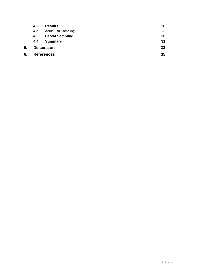|    | 4.2   | <b>Results</b>             | 28 |
|----|-------|----------------------------|----|
|    | 4.2.1 | <b>Adult Fish Sampling</b> | 28 |
|    | 4.3   | <b>Larval Sampling</b>     | 30 |
|    | 4.4   | <b>Summary</b>             | 31 |
| 5. |       | <b>Discussion</b>          | 33 |
| 6. |       | <b>References</b>          | 35 |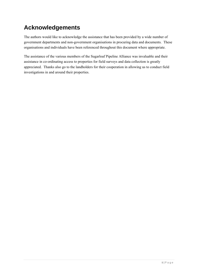# **Acknowledgements**

The authors would like to acknowledge the assistance that has been provided by a wide number of government departments and non-government organisations in procuring data and documents. These organisations and individuals have been referenced throughout this document where appropriate.

The assistance of the various members of the Sugarloaf Pipeline Alliance was invaluable and their assistance in co-ordinating access to properties for field surveys and data collection is greatly appreciated. Thanks also go to the landholders for their cooperation in allowing us to conduct field investigations in and around their properties.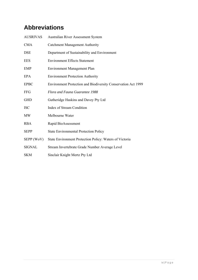# **Abbreviations**

| AUSRIVAS      | Australian River Assessment System                            |
|---------------|---------------------------------------------------------------|
| <b>CMA</b>    | <b>Catchment Management Authority</b>                         |
| <b>DSE</b>    | Department of Sustainability and Environment                  |
| <b>EES</b>    | <b>Environment Effects Statement</b>                          |
| <b>EMP</b>    | Environment Management Plan                                   |
| EPA           | <b>Environment Protection Authority</b>                       |
| <b>EPBC</b>   | Environment Protection and Biodiversity Conservation Act 1999 |
| <b>FFG</b>    | Flora and Fauna Guarantee 1988                                |
| <b>GHD</b>    | Gutheridge Haskins and Davey Pty Ltd                          |
| <b>ISC</b>    | <b>Index of Stream Condition</b>                              |
| <b>MW</b>     | Melbourne Water                                               |
| <b>RBA</b>    | Rapid BioAssessment                                           |
| <b>SEPP</b>   | <b>State Environmental Protection Policy</b>                  |
| SEPP (WoV)    | State Environment Protection Policy: Waters of Victoria       |
| <b>SIGNAL</b> | Stream Invertebrate Grade Number Average Level                |
| <b>SKM</b>    | Sinclair Knight Mertz Pty Ltd                                 |
|               |                                                               |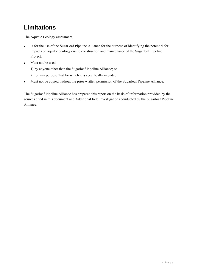# **Limitations**

The Aquatic Ecology assessment,

- Is for the use of the Sugarloaf Pipeline Alliance for the purpose of identifying the potential for impacts on aquatic ecology due to construction and maintenance of the Sugarloaf Pipeline Project.
- **Must not be used:**

1) by anyone other than the Sugarloaf Pipeline Alliance; or

- 2) for any purpose that for which it is specifically intended.
- Must not be copied without the prior written permission of the Sugarloaf Pipeline Alliance.

The Sugarloaf Pipeline Alliance has prepared this report on the basis of information provided by the sources cited in this document and Additional field investigations conducted by the Sugarloaf Pipeline Alliance.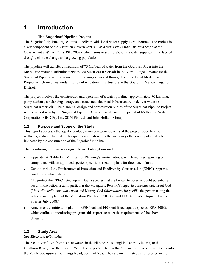# **1. Introduction**

# **1.1 The Sugarloaf Pipeline Project**

The Sugarloaf Pipeline Project aims to deliver Additional water supply to Melbourne. The Project is a key component of the Victorian Government's *Our Water, Our Future The Next Stage of the Government's Water Plan (DSE, 2007), which aims to secure Victoria's water supplies in the face of* drought, climate change and a growing population.

The pipeline will transfer a maximum of 75 GL/year of water from the Goulburn River into the Melbourne Water distribution network via Sugarloaf Reservoir in the Yarra Ranges. Water for the Sugarloaf Pipeline will be sourced from savings achieved through the Food Bowl Modernisation Project, which involves modernisation of irrigation infrastructure in the Goulburn-Murray Irrigation District.

The project involves the construction and operation of a water pipeline, approximately 70 km long, pump stations, a balancing storage and associated electrical infrastructure to deliver water to Sugarloaf Reservoir. The planning, design and construction phases of the Sugarloaf Pipeline Project will be undertaken by the Sugarloaf Pipeline Alliance, an alliance comprised of Melbourne Water Corporation, GHD Pty Ltd, SKM Pty Ltd, and John Holland Group.

# **1.2 Purpose and Scope of the Study**

This report addresses the aquatic ecology monitoring components of the project, specifically, wetlands, instream habitat, water quality and fish within the waterways that could potentially be impacted by the construction of the Sugarloaf Pipeline.

The monitoring program is designed to meet obligations under:

- Appendix A, Table 1 of Minister for Planning's written advice, which requires reporting of compliance with an approved species specific mitigation plans for threatened fauna.
- Condition 4 of the Environmental Protection and Biodiversity Conservation (EPBC) Approval conditions, which states.

"To protect the EPBC listed aquatic fauna species that are known to occur or could potentially occur in the action area, in particular the Macquarie Perch (*Macquaria australasica*), Trout Cod (*Maccullochella macquariensis*) and Murray Cod (*Maccullochella peelii*), the person taking the action must implement the Mitigation Plan for EPBC Act and FFG Act Listed Aquatic Fauna Species July 2008."

 Attachment 9, mitigation plan for EPBC Act and FFG Act listed aquatic species (SPA 2008), which outlines a monitoring program (this report) to meet the requirements of the above obligations.

# **1.3 Study Area**

### *Yea River and tributaries*

The Yea River flows from its headwaters in the hills near Toolangi in Central Victoria, to the Goulburn River, near the town of Yea. The major tributary is the Murrindindi River, which flows into the Yea River, upstream of Langs Road, South of Yea. The catchment is steep and forested in the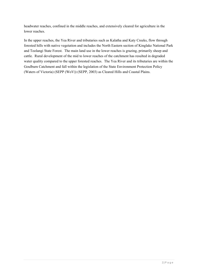headwater reaches, confined in the middle reaches, and extensively cleared for agriculture in the lower reaches.

In the upper reaches, the Yea River and tributaries such as Kalatha and Katy Creeks, flow through forested hills with native vegetation and includes the North Eastern section of Kinglake National Park and Toolangi State Forest. The main land use in the lower reaches is grazing, primarily sheep and cattle. Rural development of the mid to lower reaches of the catchment has resulted in degraded water quality compared to the upper forested reaches. The Yea River and its tributaries are within the Goulburn Catchment and fall within the legislation of the State Environment Protection Policy (Waters of Victoria) (SEPP (WoV)) (SEPP, 2003) as Cleared Hills and Coastal Plains.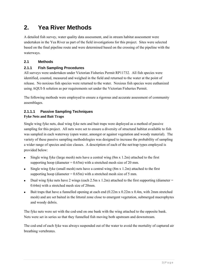# **2. Yea River Methods**

A detailed fish survey, water quality data assessment, and in stream habitat assessment were undertaken in the Yea River as part of the field investigations for this project. Sites were selected based on the final pipeline route and were determined based on the crossing of the pipeline with the waterways.

# **2.1 Methods**

# **2.1.1 Fish Sampling Procedures**

All surveys were undertaken under Victorian Fisheries Permit RP11732. All fish species were identified, counted, measured and weighed in the field and returned to the water at the point of release. No noxious fish species were returned to the water. Noxious fish species were euthanized using AQUI-S solution as per requirements set under the Victorian Fisheries Permit.

The following methods were employed to ensure a rigorous and accurate assessment of community assemblages.

#### **2.1.1.1 Passive Sampling Techniques Fyke Nets and Bait Traps**

Single wing fyke nets, dual wing fyke nets and bait traps were deployed as a method of passive sampling for this project. All nets were set to ensure a diversity of structural habitat available to fish was sampled in each waterway (open water, amongst or against vegetation and woody material). The variety of these passive sampling methodologies was designed to increase the probability of sampling a wider range of species and size classes. A description of each of the net/trap types employed is provided below:

- Single wing fyke (large mesh) nets have a central wing (8m x 1.2m) attached to the first supporting hoop (diameter  $= 0.65$ m) with a stretched mesh size of 20 mm.
- Single wing fyke (small mesh) nets have a central wing  $(8m \times 1.2m)$  attached to the first supporting hoop (diameter  $= 0.65$ m) with a stretched mesh size of 5 mm.
- Dual wing fyke nets have 2 wings (each  $2.5$ m x  $1.2$ m) attached to the first supporting (diameter = 0.64m) with a stretched mesh size of 20mm.
- Bait traps that have a funnelled opening at each end  $(0.22m \times 0.22m \times 0.4m)$ , with 2mm stretched mesh) and are set baited in the littoral zone close to emergent vegetation, submerged macrophytes and woody debris.

The fyke nets were set with the cod-end on one bank with the wing attached to the opposite bank. Nets were set in series so that they funnelled fish moving both upstream and downstream.

The cod-end of each fyke was always suspended out of the water to avoid the mortality of captured air breathing vertebrates.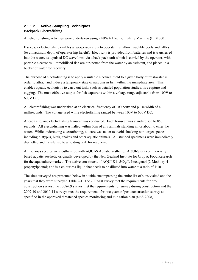# **2.1.1.2 Active Sampling Techniques Backpack Electrofishing**

All electrofishing activities were undertaken using a NIWA Electric Fishing Machine (EFM300).

Backpack electrofishing enables a two-person crew to operate in shallow, wadable pools and riffles (to a maximum depth of operator hip height). Electricity is provided from batteries and is transferred into the water, as a pulsed DC waveform, via a back-pack unit which is carried by the operator, with portable electrodes. Immobilised fish are dip-netted from the water by an assistant, and placed in a bucket of water for recovery.

The purpose of electrofishing is to apply a suitable electrical field to a given body of freshwater in order to attract and induce a temporary state of narcosis in fish within the immediate area. This enables aquatic ecologist's to carry out tasks such as detailed population studies, live capture and tagging. The most effective output for fish capture is within a voltage range adjustable from 100V to 600V DC.

All electrofishing was undertaken at an electrical frequency of 100 hertz and pulse width of 4 milliseconds. The voltage used while electrofishing ranged between 100V to 600V DC.

At each site, one electrofishing transect was conducted. Each transect was standardised to 850 seconds. All electrofishing was halted within 50m of any animals standing in, or about to enter the water. While undertaking electrofishing, all care was taken to avoid shocking non-target species including platypus, birds, snakes and other aquatic animals. All stunned specimens were immediately dip netted and transferred to a holding tank for recovery.

All noxious species were euthanized with AQUI-S Aquatic aesthetic. AQUI-S is a commercially based aquatic aesthetic originally developed by the New Zealand Institute for Crop & Food Research for the aquaculture market. The active constituent of AQUI-S is 540g/L Isoeugenol (2-Methoxy-4 – propenylphenol) and is a colourless liquid that needs to be diluted into water at a ratio of 1:10.

The sites surveyed are presented below in a table encompassing the entire list of sites visited and the years that they were surveyed Table 2-1. The 2007-08 survey met the requirements for preconstruction survey, the 2008-09 survey met the requirements for survey during construction and the 2009-10 and 2010-11 surveys met the requirements for two years of post construction survey as specified in the approved threatened species monitoring and mitigation plan (SPA 2008).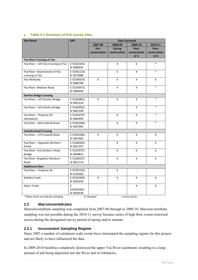#### **Table 2-1 Summary of fish survey sites**

| <b>Site Name</b>                     | <b>GPS</b>  | <b>Date Surveyed</b> |                          |                   |                 |
|--------------------------------------|-------------|----------------------|--------------------------|-------------------|-----------------|
|                                      |             | 2007-08              | 2008-09                  | 2009-10           | 2010-11         |
|                                      |             | Pre-                 | <b>During</b>            | Post-             | Post-           |
|                                      |             | construction         | construction             | construction      | construction    |
|                                      |             |                      |                          | $yr_1$            | yr <sub>2</sub> |
| Yea River Crossing at Yea            |             |                      |                          |                   |                 |
| Yea River - U/S Yea Crossing at Yea  | E 55361043; | $\Box$               | X                        | X                 | $\ast$          |
|                                      | N 5880035   |                      |                          |                   |                 |
| Yea River- Downstream of Yea         | E 55361124; |                      | X                        | X                 | $\ast$          |
| crossing at Yea                      | N 5879988   |                      |                          |                   |                 |
| Yea Wetlands                         | E 55360559; | X                    | X                        | X                 | X               |
|                                      | N 5880788   |                      |                          |                   |                 |
| Yea River- Webster Road              | E 55359472; | $\Box$               | X                        | X                 | $\ast$          |
|                                      | N 5880494   |                      |                          |                   |                 |
| <b>Devlins Bridge Crossing</b>       |             |                      |                          |                   |                 |
| Yea River - U/S Devlins Bridge       | E 55364841; | X                    | X                        | X                 | $\ast$          |
|                                      | N 5861554   |                      |                          |                   |                 |
| Yea River - D/S Devlins Bridge       | E 55364961; | $\blacksquare$       | $\overline{\phantom{a}}$ | X                 | $\ast$          |
|                                      | N 5861598   |                      |                          |                   |                 |
| Yea River - Property 59              | E 55364797; | $\sim$               | X                        | X                 | *               |
| Glendaloch                           | N 5866996   |                      |                          |                   |                 |
| Yea River - Murrindindi Road         | E 55361066; |                      | X                        | X                 | $\ast$          |
|                                      | N 5847065   |                      |                          |                   |                 |
| <b>Castella Road Crossing</b>        |             |                      |                          |                   |                 |
| Yea River - U/S Castella Road        | E 55361066; | X                    | X                        | X                 | X               |
|                                      | N 5847065   |                      |                          |                   |                 |
| Yea River - Opposite Northern        | E 55360205; | ×.                   | X                        | X                 | X               |
| Portal                               | N 5851207   |                      |                          |                   |                 |
| Yea River- U/S Gordon's Road         | E 55359707; | $\mathbf{r}$         | X                        | X                 | X               |
| <b>Bridge</b>                        | N 5848832   |                      |                          |                   |                 |
| Yea River- Kinglake/ Glenburn        | E 55360327; | $\sim$               | X                        | X                 | X               |
| Road                                 | N 5852723   |                      |                          |                   |                 |
| <b>Additional Sites</b>              |             |                      |                          |                   |                 |
| Yea River - Property 34              | E 55397250; |                      | X                        |                   |                 |
|                                      | N 4159360   |                      |                          |                   |                 |
| Kalatha Creek                        | E 55363464; | X                    | X                        | X                 | X               |
|                                      | N 5859299   |                      |                          |                   |                 |
| Katy's Creek                         | E           | $\blacksquare$       | $\overline{\phantom{a}}$ | X                 | X               |
|                                      | 550362482;  |                      |                          |                   |                 |
|                                      | N 5858339   |                      |                          |                   |                 |
| * Water levels too high for sampling |             | X= Sampled           |                          | - = Access Issues |                 |

### **2.2 Macroinvertebrates**

Macroinvertebrate sampling was completed from 2007-08 through to 2009-10. Macroinvertebrate sampling was not possible during the 2010-11 survey because series of high flow events restricted access during the designated survey period of spring and/or autumn.

# **2.2.1 Inconsistent Sampling Regime**

Since 2007 a number of catchment scale events have interrupted the sampling regime for this project and are likely to have influenced the data.

In 2009-2010 bushfires completely destroyed the upper Yea River catchment, resulting in a large amount of ash being deposited into the River and its tributaries.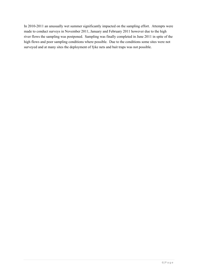In 2010-2011 an unusually wet summer significantly impacted on the sampling effort. Attempts were made to conduct surveys in November 2011, January and February 2011 however due to the high river flows the sampling was postponed. Sampling was finally completed in June 2011 in spite of the high flows and poor sampling conditions where possible. Due to the conditions some sites were not surveyed and at many sites the deployment of fyke nets and bait traps was not possible.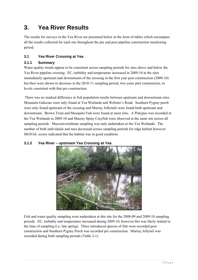# **3. Yea River Results**

The results for surveys in the Yea River are presented below in the form of tables which encompass all the results collected for each site throughout the pre and post pipeline construction monitoring period.

# **3.1 Yea River Crossing at Yea**

# **3.1.1 Summary**

Water quality trends appear to be consistent across sampling periods for sites above and below the Yea River pipeline crossing. EC, turbidity and temperature increased in 2009-10 at the sites immediately upstream and downstream of the crossing in the first year post construction (2009-10) but then were shown to decrease in the 2010-11 sampling period, two years port construction, to levels consistent with that pre construction.

 There was no marked difference in fish population results between upstream and downstream sites. Mountain Galaxias were only found at Yea Wetlands and Webster's Road. Southern Pygmy perch were only found upstream of the crossing and Murray Jollytails were found both upstream and downstream. Brown Trout and Mosquito Fish were found at most sites. A Platypus was recorded in the Yea Wetlands in 2009-10 and Murray Spiny Crayfish were observed at the same site across all sampling periods. Macroinvertebrate sampling was only undertaken at the Yea Wetlands. The number of both individuals and taxa decreased across sampling periods for edge habitat however SIGNAL scores indicated that the habitat was in good condition.



# **3.1.2 Yea River – upstream Yea Crossing at Yea**

Fish and water quality sampling were undertaken at this site for the 2008-09 and 2009-10 sampling periods. EC, turbidity and temperature increased during 2009-10, however this was likely related to the time of sampling (i.e. late spring). Three introduced species of fish were recorded post construction and Southern Pygmy Perch was recorded pre construction. Murray Jollytail was recorded during both sampling periods (Table 3-1).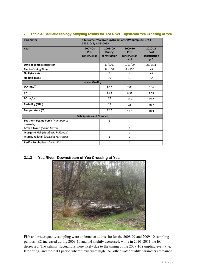| <b>Parameter</b>                                       | Site Name: Yea River upstream of GVW pump site GPS E<br>55361043; N 5880035 |                                          |                                           |                                                    |  |  |  |
|--------------------------------------------------------|-----------------------------------------------------------------------------|------------------------------------------|-------------------------------------------|----------------------------------------------------|--|--|--|
| Year                                                   | 2007-08<br>Pre-<br>construction                                             | 2008-09<br><b>During</b><br>construction | 2009-10<br>Post<br>construction<br>$yr_1$ | 2010-11<br>Post<br>construction<br>yr <sub>2</sub> |  |  |  |
| Date of sample collection                              |                                                                             | 13/5/09                                  | 3/11/09                                   | 21/6/11                                            |  |  |  |
| <b>Electrofishing Time</b>                             |                                                                             | 8 x 150                                  | $8 \times 150$                            | <b>NA</b>                                          |  |  |  |
| <b>No Fyke Nets</b>                                    |                                                                             | 4                                        | 4                                         | <b>NA</b>                                          |  |  |  |
| <b>No Bait Traps</b>                                   |                                                                             | 10                                       | 10                                        | <b>NA</b>                                          |  |  |  |
| <b>Water Quality</b>                                   |                                                                             |                                          |                                           |                                                    |  |  |  |
| DO (mg/l)                                              |                                                                             | 8.47                                     | 7.09                                      | 9.36                                               |  |  |  |
| рH                                                     |                                                                             | 6.85                                     | 6.32                                      | 7.68                                               |  |  |  |
| $EC$ ( $\mu s/cm$ )                                    |                                                                             | 67                                       | 180                                       | 79.2                                               |  |  |  |
| <b>Turbidity (NTU)</b>                                 |                                                                             | 12                                       | 41                                        | 20.7                                               |  |  |  |
| Temperature (°C)                                       |                                                                             | 12.5                                     | 19.6                                      | 10.3                                               |  |  |  |
|                                                        | <b>Fish Species and Number</b>                                              |                                          |                                           |                                                    |  |  |  |
| Southern Pygmy Perch (Nannoperca<br><i>australis</i> ) |                                                                             | $\mathbf{1}$                             |                                           |                                                    |  |  |  |
| <b>Brown Trout</b> (Salmo trutta)                      |                                                                             |                                          | $\mathbf{1}$                              |                                                    |  |  |  |
| Mosquito Fish (Gambusia holbrooki)                     |                                                                             |                                          | $\mathbf{1}$                              |                                                    |  |  |  |
| Murray Jollytail (Galaxias rostratus)                  |                                                                             | $\mathbf{1}$                             | $\mathbf{1}$                              |                                                    |  |  |  |
| Redfin Perch (Perca fluviatilis)                       |                                                                             |                                          | $\mathbf{1}$                              |                                                    |  |  |  |

#### **Table 3-1 Aquatic ecology sampling results for Yea River – upstream Yea Crossing at Yea**

#### **3.1.3 Yea River- Downstream of Yea Crossing at Yea**



Fish and water quality sampling were undertaken at this site for the 2008-09 and 2009-10 sampling periods. EC increased during 2009-10 and pH slightly decreased, while in 2010 -2011 the EC decreased. The salinity fluctuations were likely due to the timing of the 2009-10 sampling event (i.e. late spring) and the 2011 period where flows were high. All other water quality parameters remained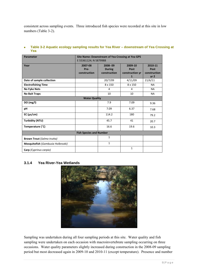consistent across sampling events. Three introduced fish species were recorded at this site in low numbers (Table 3-2).

| <b>Parameter</b>                  | Site Name: Downstream of Yea Crossing at Yea GPS |                |                 |                 |  |  |
|-----------------------------------|--------------------------------------------------|----------------|-----------------|-----------------|--|--|
|                                   | E 55361124; N 5879988                            |                |                 |                 |  |  |
| Year                              | 2007-08                                          | 2008-09        | 2009-10         | 2010-11         |  |  |
|                                   | Pre-                                             | <b>During</b>  | Post            | Post            |  |  |
|                                   | construction                                     | construction   | construction yr | construction    |  |  |
|                                   |                                                  |                | 1               | yr <sub>2</sub> |  |  |
| Date of sample collection         |                                                  | 20/7/09        | 4/11/09         | 21/6/11         |  |  |
| <b>Electrofishing Time</b>        |                                                  | 8 x 150        | 8 x 150         | <b>NA</b>       |  |  |
| <b>No Fyke Nets</b>               |                                                  | $\overline{4}$ | 4               | <b>NA</b>       |  |  |
| <b>No Bait Traps</b>              |                                                  | 10             | 10              | <b>NA</b>       |  |  |
|                                   | <b>Water Quality</b>                             |                |                 |                 |  |  |
| DO (mg/l)                         |                                                  | 7.9            | 7.09            | 9.36            |  |  |
| рH                                |                                                  | 7.09           | 6.37            | 7.68            |  |  |
| $EC$ ( $\mu s/cm$ )               |                                                  | 114.2          | 180             | 79.2            |  |  |
| Turbidity (NTU)                   |                                                  | 45.7           | 41              | 20.7            |  |  |
| Temperature (°C)                  |                                                  | 16.6           | 19.6            | 10.3            |  |  |
| <b>Fish Species and Number</b>    |                                                  |                |                 |                 |  |  |
| <b>Brown Trout (Salmo trutta)</b> |                                                  | $\mathbf{1}$   |                 |                 |  |  |
| Mosquitofish (Gambusia Holbrooki) |                                                  | 1              |                 |                 |  |  |
| Carp (Cyprinus carpio)            |                                                  |                | $\mathbf{1}$    |                 |  |  |

#### **Table 3-2 Aquatic ecology sampling results for Yea River – downstream of Yea Crossing at Yea**

### **3.1.4 Yea River-Yea Wetlands**



Sampling was undertaken during all four sampling periods at this site. Water quality and fish sampling were undertaken on each occasion with macroinvertebrate sampling occurring on three occasions. Water quality parameters slightly increased during construction in the 2008-09 sampling period but most decreased again in 2009-10 and 2010-11 (except temperature). Presence and number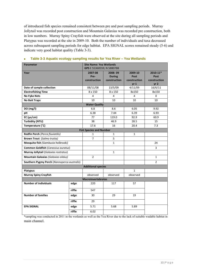of introduced fish species remained consistent between pre and post sampling periods. Murray Jollytail was recorded post construction and Mountain Galaxias was recorded pre construction, both in low numbers. Murray Spiny Crayfish were observed at the site during all sampling periods and Platypus was recorded at the site in 2009-10. Both the number of individuals and taxa decreased across subsequent sampling periods for edge habitat. EPA SIGNAL scores remained steady (5-6) and indicate very good habitat quality (Table 3-3).

| <b>Parameter</b>                            |                                | <b>Site Name: Yea Wetlands</b><br>GPS E 55360559; N 5880788 |                                          |                                                    |                                                         |  |
|---------------------------------------------|--------------------------------|-------------------------------------------------------------|------------------------------------------|----------------------------------------------------|---------------------------------------------------------|--|
| Year                                        |                                | 2007-08<br>Pre-<br>construction                             | 2008-09<br><b>During</b><br>construction | 2009-10<br>Post<br>construction<br>yr <sub>1</sub> | $2010 - 11*$<br>Post<br>construction<br>yr <sub>2</sub> |  |
| Date of sample collection                   |                                | 08/11/08                                                    | 13/5/09                                  | 4/11/09                                            | 16/6/11                                                 |  |
| <b>Electrofishing Time</b>                  |                                | $\overline{8}$ x 150                                        | 8 x 150                                  | 8x150                                              | 8x150                                                   |  |
| <b>No Fyke Nets</b>                         |                                | 4                                                           | 4                                        | 4                                                  | $\Omega$                                                |  |
| <b>No Bait Traps</b>                        |                                | 10                                                          | 10                                       | 10                                                 | 10                                                      |  |
|                                             |                                | <b>Water Quality</b>                                        |                                          |                                                    |                                                         |  |
| DO (mg/l)                                   |                                | 6.8                                                         | 8.6                                      | 6.05                                               | 9.92                                                    |  |
| рH                                          |                                | 6.38                                                        | 7.44                                     | 6.39                                               | 6.93                                                    |  |
| EC ( $\mu$ s/cm)                            |                                | 77                                                          | 119.0                                    | 92.9                                               | 60.9                                                    |  |
| <b>Turbidity (NTU)</b>                      |                                | 38                                                          | 46.9                                     | 28.5                                               | 15                                                      |  |
| Temperature (°C)                            |                                | 17.6                                                        | 16                                       | 20.4                                               | 7.3                                                     |  |
|                                             | <b>Fish Species and Number</b> |                                                             |                                          |                                                    |                                                         |  |
| Redfin Perch (Perca fluviatilis)            |                                | 1                                                           | $\mathbf{1}$                             | 1                                                  |                                                         |  |
| <b>Brown Trout</b> (Salmo trutta)           |                                | 7                                                           | 5                                        |                                                    |                                                         |  |
| Mosquito fish (Gambusia holbrooki)          |                                |                                                             | $\mathbf{1}$                             |                                                    | 24                                                      |  |
| <b>Common Goldfish (Carassius auratus)</b>  |                                |                                                             |                                          |                                                    | 3                                                       |  |
| Murray Jollytail (Galaxias rostratus)       |                                |                                                             | $\mathbf{1}$                             |                                                    |                                                         |  |
| Mountain Galaxias (Galaxias olidus)         |                                | $\overline{2}$                                              |                                          |                                                    | $\mathbf{1}$                                            |  |
| Southern Pygmy Perch (Nannoperca australis) |                                |                                                             |                                          |                                                    | $\overline{2}$                                          |  |
|                                             |                                | <b>Additional species</b>                                   |                                          |                                                    |                                                         |  |
| <b>Platypus</b>                             |                                |                                                             |                                          | $\mathbf{1}$                                       |                                                         |  |
| <b>Murray Spiny Crayfish</b>                |                                | observed                                                    | observed                                 | observed                                           |                                                         |  |
|                                             |                                | <b>Macroinvertebrates</b>                                   |                                          |                                                    |                                                         |  |
| <b>Number of individuals</b>                | edge                           | 220                                                         | 117                                      | 57                                                 |                                                         |  |
|                                             | riffle                         | 547                                                         |                                          |                                                    |                                                         |  |
| <b>Number of families</b>                   | edge                           | 30                                                          | 29                                       | 19                                                 |                                                         |  |
|                                             | riffle                         | 29                                                          |                                          |                                                    |                                                         |  |
| <b>EPA SIGNAL</b>                           | edge                           | 5.71                                                        | 5.68                                     | 5.89                                               |                                                         |  |
|                                             | riffle                         | 6.02                                                        |                                          |                                                    |                                                         |  |

#### **Table 3-3 Aquatic ecology sampling results for Yea River – Yea Wetlands**

\*sampling was conducted in 2011 in the wetlands as well as the Yea River due to the lack of suitable wadable habitat in main channel.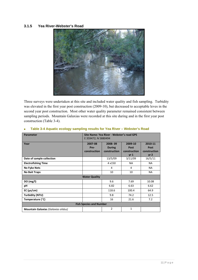#### **3.1.5 Yea River-Webster's Road**



Three surveys were undertaken at this site and included water quality and fish sampling. Turbidity was elevated in the first year post construction (2009-10), but decreased to acceptable leves in the second year post construction. Most other water quality parameter remained consistent between sampling periods. Mountain Galaxias were recorded at this site during and in the first year post construction (Table 3-4).

| Parameter                           |                      | Site Name: Yea River - Webster's road GPS |                 |                 |  |  |
|-------------------------------------|----------------------|-------------------------------------------|-----------------|-----------------|--|--|
|                                     |                      | E 359472; N 5880494                       |                 |                 |  |  |
| Year                                | 2007-08              | 2008-09                                   | 2009-10         | 2010-11         |  |  |
|                                     | Pre-                 | <b>During</b>                             | Post            | Post            |  |  |
|                                     | construction         | construction                              | construction    | construction    |  |  |
|                                     |                      |                                           | yr <sub>1</sub> | yr <sub>2</sub> |  |  |
| Date of sample collection           |                      | 13/5/09                                   | 3/11/09         | 16/5/11         |  |  |
| <b>Electrofishing Time</b>          |                      | 4 x 150                                   | <b>NA</b>       | <b>NA</b>       |  |  |
| <b>No Fyke Nets</b>                 |                      | 4                                         | 4               | <b>NA</b>       |  |  |
| <b>No Bait Traps</b>                |                      | 10                                        | 10              | <b>NA</b>       |  |  |
|                                     | <b>Water Quality</b> |                                           |                 |                 |  |  |
| DO(mg/I)                            |                      | 9.6                                       | 7.69            | 10.08           |  |  |
| рH                                  |                      | 6.82                                      | 6.63            | 6.62            |  |  |
| $EC$ ( $\mu s/cm$ )                 |                      | 118.6                                     | 100.4           | 64.9            |  |  |
| Turbidity (NTU)                     |                      | 9.8                                       | 74.2            | 12.5            |  |  |
| Temperature (°C)                    |                      | 16                                        | 21.6            | 7.2             |  |  |
| <b>Fish Species and Number</b>      |                      |                                           |                 |                 |  |  |
| Mountain Galaxias (Galaxias olidus) |                      | $\overline{2}$                            | $\mathbf{1}$    |                 |  |  |

#### **Table 3-4 Aquatic ecology sampling results for Yea River – Webster's Road**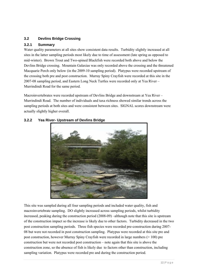# **3.2 Devlins Bridge Crossing**

#### **3.2.1 Summary**

Water quality parameters at all sites show consistent data results. Turbidity slightly increased at all sites in the latter sampling periods most likely due to time of assessment (late spring as opposed to mid-winter). Brown Trout and Two-spined Blackfish were recorded both above and below the Devlins Bridge crossing. Mountain Galaxias was only recorded above the crossing and the threatened Macquarie Perch only below (in the 2009-10 sampling period). Platypus were recorded upstream of the crossing both pre and post construction. Murray Spiny Crayfish were recorded at this site in the 2007-08 sampling period, and Eastern Long Neck Turtles were recorded only at Yea River – Murrindindi Road for the same period.

Macroinvertebrates were recorded upstream of Devlins Bridge and downstream at Yea River – Murrindindi Road. The number of individuals and taxa richness showed similar trends across the sampling periods at both sites and were consistent between sites. SIGNAL scores downstream were actually slightly higher overall.



# **3.2.2 Yea River- Upstream of Devlins Bridge**

This site was sampled during all four sampling periods and included water quality, fish and macroinvertebrate sampling. DO slightly increased across sampling periods, whilst turbidity increased, peaking during the construction period (2008-09) –although note that this site is upstream of the construction impact so the increase is likely due to other factors. Turbidity decreased in the two post construction sampling periods. Three fish species were recorded pre-construction during 2007- 08 but were not recorded in post construction sampling. Platypus were recorded at this site pre and post construction, however Murray Spiny Crayfish were recorded in large numbers (> 100) pre construction but were not recorded post construction – note again that this site is above the construction zone, so the absence of fish is likely due to factors other than construction, including sampling variation. Platypus were recorded pre and during the construction period.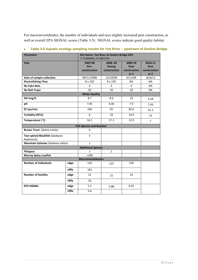For macroinvertebrates, the number of individuals and taxa slightly increased post construction, as well as overall EPA SIGNAL scores (Table 3-5). SIGNAL scores indicate good quality habitat.

| <b>Parameter</b>                    |        | Site Name: Yea River at Devlins Bridge GPS<br>E 55364841; N 5861554 |                |                 |                 |
|-------------------------------------|--------|---------------------------------------------------------------------|----------------|-----------------|-----------------|
| Year                                |        | 2007-08                                                             | 2008-09        | 2009-10         | 2010-11         |
|                                     |        | Pre-                                                                | <b>During</b>  | Post            | Post            |
|                                     |        | construction                                                        | construction   | construction    | construction    |
|                                     |        |                                                                     |                | yr <sub>1</sub> | yr <sub>2</sub> |
| Date of sample collection           |        | 09/11/2008                                                          | 15/10/09       | 6/11/09         | 16/6/11         |
| <b>Electrofishing Time</b>          |        | 8 x 150                                                             | 8 x 150        | <b>NA</b>       | <b>NA</b>       |
| <b>No Fyke Nets</b>                 |        | 4                                                                   | $\overline{4}$ | 4               | <b>NA</b>       |
| <b>No Bait Traps</b>                |        | 10                                                                  | 10             | 10              | NA.             |
|                                     |        | <b>Water Quality</b>                                                |                |                 |                 |
| DO (mg/l)                           |        | 8.7                                                                 | 8.6            | 10              | 9.28            |
| pH                                  |        | 7.05                                                                | 6.46           | 7.0             | 7.03            |
| $EC$ ( $\mu s/cm$ )                 |        | 106                                                                 | 92             | 82.0            | 55.3            |
| <b>Turbidity (NTU)</b>              |        | 6                                                                   | 33             | 16.9            | 13              |
| Temperature (°C)                    |        | 16.1                                                                | 17.3           | 12.9            | $\overline{7}$  |
|                                     |        | <b>Fish Species and Number</b>                                      |                |                 |                 |
| <b>Brown Trout</b> (Salmo trutta)   |        | 6                                                                   |                |                 |                 |
| Two-spined Blackfish (Gadopsis      |        | 5                                                                   |                |                 |                 |
| bispinosus)                         |        |                                                                     |                |                 |                 |
| Mountain Galaxias (Galaxias olidus) |        | $\mathbf{1}$                                                        |                |                 |                 |
|                                     |        | <b>Additional Species</b>                                           |                |                 |                 |
| <b>Platypus</b>                     |        | $\mathbf{1}$                                                        | $\mathbf{1}$   |                 |                 |
| <b>Murray Spiny crayfish</b>        |        | >100                                                                |                |                 |                 |
|                                     |        | <b>Macroinvertebrates</b>                                           |                |                 |                 |
| <b>Number of individuals</b>        | edge   | 116                                                                 | 125            | 134             |                 |
|                                     | riffle | 181                                                                 |                |                 |                 |
| <b>Number of families</b>           | edge   | 12                                                                  | 21             | 14              |                 |
|                                     | riffle | 18                                                                  |                |                 |                 |
| <b>EPA SIGNAL</b>                   | edge   | 5.2                                                                 | 5.88           | 6.55            |                 |
|                                     | riffle | 5.6                                                                 |                |                 |                 |

**Table 3-5 Aquatic ecology sampling results for Yea River – upstream of Devlins Bridge**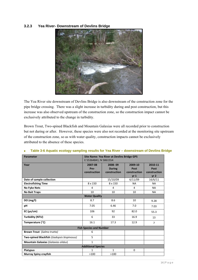#### **3.2.3 Yea River- Downstream of Devlins Bridge**



The Yea River site downstream of Devlins Bridge is also downstream of the construction zone for the pipe bridge crossing. There was a slight increase in turbidity during and post construction, but this increase was also observed upstream of the construction zone, so the construction impact cannot be exclusively attributed to the change in turbidity.

Brown Trout, Two-spined Blackfish and Mountain Galaxias were all recorded prior to construction but not during or after. However, these species were also not recorded at the monitoring site upstream of the construction zone, so as with water quality, construction impacts cannot be exclusively attributed to the absence of these species.

| <b>Parameter</b>                           | Site Name: Yea River at Devlins Bridge GPS |               |                 |                 |  |  |
|--------------------------------------------|--------------------------------------------|---------------|-----------------|-----------------|--|--|
|                                            | E 55364841; N 5861554                      |               |                 |                 |  |  |
| Year                                       | 2007-08                                    | 2008-09       | 2009-10         | 2010-11         |  |  |
|                                            | Pre-                                       | <b>During</b> | Post            | Post            |  |  |
|                                            | construction                               | construction  | construction    | construction    |  |  |
|                                            |                                            |               | yr <sub>1</sub> | yr <sub>2</sub> |  |  |
| Date of sample collection                  |                                            | 15/10/09      | 6/11/09         | 16/6/11         |  |  |
| <b>Electrofishing Time</b>                 | 8 x 150                                    | 8 x 150       | <b>NA</b>       | <b>NA</b>       |  |  |
| <b>No Fyke Nets</b>                        | 4                                          | 4             | $\overline{4}$  | NA.             |  |  |
| <b>No Bait Traps</b>                       | 10                                         | 10            | 10              | <b>NA</b>       |  |  |
|                                            | <b>Water Quality</b>                       |               |                 |                 |  |  |
| DO (mg/l)                                  | 8.7                                        | 8.6           | 10              | 9.28            |  |  |
| pH                                         | 7.05                                       | 6.46          | 7.0             | 7.03            |  |  |
| $EC$ ( $\mu s/cm$ )                        | 106                                        | 92            | 82.0            | 55.3            |  |  |
| Turbidity (NTU)                            | 6                                          | 33            | 16.9            | 13              |  |  |
| Temperature (°C)                           | 16.1                                       | 17.3          | 12.9            | $\overline{7}$  |  |  |
|                                            | <b>Fish Species and Number</b>             |               |                 |                 |  |  |
| <b>Brown Trout</b> (Salmo trutta)          | 6                                          |               |                 |                 |  |  |
| Two-spined Blackfish (Gadopsis bispinosus) | 5                                          |               |                 |                 |  |  |
| Mountain Galaxias (Galaxias olidus)        | $\mathbf{1}$                               |               |                 |                 |  |  |
| <b>Additional Species</b>                  |                                            |               |                 |                 |  |  |
| <b>Platypus</b>                            | $\mathbf{1}$                               | $\mathbf{1}$  | $\mathbf 0$     |                 |  |  |
| Murray Spiny crayfish                      | >100                                       | >100          |                 |                 |  |  |

#### **Table 3-6 Aquatic ecology sampling results for Yea River – downstream of Devlins Bridge**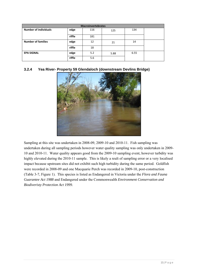| <b>Macroinvertebrates</b>    |        |     |      |      |  |  |
|------------------------------|--------|-----|------|------|--|--|
| <b>Number of individuals</b> | edge   | 116 | 125  | 134  |  |  |
|                              | riffle | 181 |      |      |  |  |
| <b>Number of families</b>    | edge   | 12  | 21   | 14   |  |  |
|                              | riffle | 18  |      |      |  |  |
| <b>EPA SIGNAL</b>            | edge   | 5.2 | 5.88 | 6.55 |  |  |
|                              | riffle | 5.6 |      |      |  |  |

#### **3.2.4 Yea River- Property 59 Glendaloch (downstream Devlins Bridge)**



Sampling at this site was undertaken in 2008-09, 2009-10 and 2010-11. Fish sampling was undertaken during all sampling periods however water quality sampling was only undertaken in 2009- 10 and 2010-11. Water quality appears good from the 2009-10 sampling event, however turbdity was highly elevated during the 2010-11 sample. This is likely a reult of sampling error or a very localised impact because upstream sites did not exhibit such high turbidity during the same period. Goldfish were recorded in 2008-09 and one Macquarie Perch was recorded in 2009-10, post-construction (Table 3-7, Figure 1). This species is listed as Endangered in Victoria under the *Flora and Fauna Guarantee Act 1988* and Endangered under the Commonwealth *Environment Conservation and Biodiveristy Protection Act 1999.*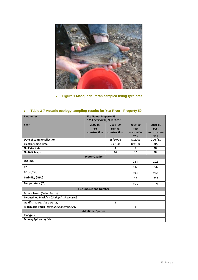

# **Figure 1 Macquarie Perch sampled using fyke nets**

| <b>Site Name: Property 59</b><br><b>Parameter</b> |                                |               |                                 |                                 |  |
|---------------------------------------------------|--------------------------------|---------------|---------------------------------|---------------------------------|--|
|                                                   | GPS E 55364797; N 5866996      |               |                                 |                                 |  |
| Year                                              | 2007-08                        | 2008-09       | 2009-10                         | 2010-11                         |  |
|                                                   |                                |               |                                 |                                 |  |
|                                                   | Pre-                           | <b>During</b> | Post                            | Post                            |  |
|                                                   | construction                   | construction  | construction<br>yr <sub>1</sub> | construction<br>yr <sub>2</sub> |  |
| Date of sample collection                         |                                | 15/10/08      | 4/11/09                         | 21/6/11                         |  |
| <b>Electrofishing Time</b>                        |                                | 6 x 150       | 8 x 150                         | <b>NA</b>                       |  |
| <b>No Fyke Nets</b>                               |                                | 4             | 4                               | <b>NA</b>                       |  |
| <b>No Bait Traps</b>                              |                                | 10            | 10                              | <b>NA</b>                       |  |
| <b>Water Quality</b>                              |                                |               |                                 |                                 |  |
| DO(mg/I)                                          |                                |               | 9.54                            | 10.3                            |  |
| рH                                                |                                |               | 6.65                            | 7.47                            |  |
| $EC$ ( $\mu s/cm$ )                               |                                |               | 89.2                            | 97.8                            |  |
| Turbidity (NTU)                                   |                                |               | 19                              | 222                             |  |
| Temperature (°C)                                  |                                |               | 15.7                            | 9.9                             |  |
|                                                   | <b>Fish Species and Number</b> |               |                                 |                                 |  |
| <b>Brown Trout</b> (Salmo trutta)                 |                                |               |                                 |                                 |  |
| Two-spined Blackfish (Gadopsis bispinosus)        |                                |               |                                 |                                 |  |
| <b>Goldfish (Carassius auratus)</b>               |                                | 3             |                                 |                                 |  |
| Macquarie Perch (Macquaria australasica)          |                                |               | $\mathbf{1}$                    |                                 |  |
| <b>Additional Species</b>                         |                                |               |                                 |                                 |  |
| <b>Platypus</b>                                   |                                |               |                                 |                                 |  |
| <b>Murray Spiny crayfish</b>                      |                                |               |                                 |                                 |  |

# **Table 3-7 Aquatic ecology sampling results for Yea River - Property 59**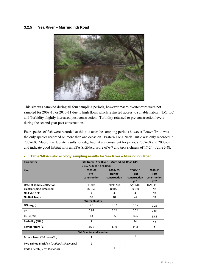#### **3.2.5 Yea River – Murrindindi Road**



This site was sampled during all four sampling periods, however macroinvertebrates were not sampled for 2009-10 or 2010-11 due to high flows which restricted access to suitable habitat. DO, EC and Turbidity slightly increased post construction. Turbidity returned to pre construction levels during the second year post construction.

Four species of fish were recorded at this site over the sampling periods however Brown Trout was the only species recorded on more than one occasion. Eastern Long Neck Turtle was only recorded in 2007-08. Macroinvertebrate results for edge habitat are consistent for periods 2007-08 and 2008-09 and indicate good habitat with an EPA SIGNAL score of 6-7 and taxa richness of 17-24 (Table 3-8).

| <b>Parameter</b>                           | Site Name: Yea River - Murrindindi Road GPS |               |                 |                 |  |  |
|--------------------------------------------|---------------------------------------------|---------------|-----------------|-----------------|--|--|
|                                            | E 55279368; N 5761058                       |               |                 |                 |  |  |
| Year                                       | 2007-08                                     | 2008-09       | 2009-10         | 2010-11         |  |  |
|                                            | Pre-                                        | <b>During</b> | Post            | Post            |  |  |
|                                            | construction                                | construction  | construction    | construction    |  |  |
|                                            |                                             |               | yr <sub>1</sub> | yr <sub>2</sub> |  |  |
| Date of sample collection                  | 11/07                                       | 20/11/08      | 5/11/09         | 16/6/11         |  |  |
| <b>Electrofishing Time (sec)</b>           | 8x 150                                      | 8 x 150       | 8x150           | <b>NA</b>       |  |  |
| <b>No Fyke Nets</b>                        | 4                                           | 4             | 4               | <b>NA</b>       |  |  |
| <b>No Bait Traps</b>                       | 10                                          | 10            | <b>NA</b>       | <b>NA</b>       |  |  |
| <b>Water Quality</b>                       |                                             |               |                 |                 |  |  |
| DO(mg/l)                                   | 7.6                                         | 8.57          | 9.05            | 9.28            |  |  |
| pH                                         | 6.97                                        | 6.12          | 6.52            | 7.03            |  |  |
| $EC$ ( $\mu s/cm$ )                        | 63                                          | 55            | 74.6            | 55.3            |  |  |
| Turbidity (NTU)                            | 9                                           |               | 24              | 13              |  |  |
| Temperature °C                             | 16.6                                        | 17.9          | 14.8            | $\overline{7}$  |  |  |
| <b>Fish Species and Number</b>             |                                             |               |                 |                 |  |  |
| <b>Brown Trout (Salmo trutta)</b>          | 1                                           |               | $\mathbf{1}$    |                 |  |  |
| Two-spined Blackfish (Gadopsis bispinosus) | $\overline{2}$                              |               |                 |                 |  |  |
| <b>Redfin Perch</b> (Perca fluviatilis)    |                                             | $\mathbf{1}$  |                 |                 |  |  |

#### **Table 3-8 Aquatic ecology sampling results for Yea River – Murrindindi Road**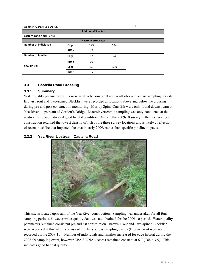| <b>Goldfish (Carassius auratus)</b> |                           |     |      | 1 |  |  |  |  |
|-------------------------------------|---------------------------|-----|------|---|--|--|--|--|
|                                     | <b>Additional Species</b> |     |      |   |  |  |  |  |
| <b>Eastern Long Neck Turtle</b>     |                           | 5   |      |   |  |  |  |  |
| <b>Macroinvertebrates</b>           |                           |     |      |   |  |  |  |  |
| <b>Number of individuals</b>        | Edge                      | 123 | 134  |   |  |  |  |  |
|                                     | <b>Riffle</b>             | 47  |      |   |  |  |  |  |
| <b>Number of families</b>           | Edge                      | 17  | 24   |   |  |  |  |  |
|                                     | Riffle                    | 20  |      |   |  |  |  |  |
| <b>EPA SIGNAL</b>                   | Edge                      | 6.6 | 6.30 |   |  |  |  |  |
|                                     | <b>Riffle</b>             | 6.7 |      |   |  |  |  |  |

# **3.3 Castella Road Crossing**

### **3.3.1 Summary**

Water quality parameter results were relatively consistent across all sites and across sampling periods. Brown Trout and Two-spined Blackfish were recorded at locations above and below the crossing during pre and post construction monitoring. Murray Spiny Crayfish were only found downstream at Yea River – upstream of Gordon's Bridge. Macroinvertebrate sampling was only conducted at the upstream site and indicated good habitat condition. Overall, the 2009-10 survey in the first year post construction returned the lowest density of fish of the three survey locations and is likely a reflection of recent bushfire that impacted the area in early 2009, rather than specific pipeline impacts.

### **3.3.2 Yea River Upstream Castella Road**



This site is located upstream of the Yea River construction. Sampling was undertaken for all four sampling periods, however water quality data was not obtained for the 2009-10 period. Water quality parameters remained consistent pre and pst construction. Brown Trout and Two-spined Blackfish were recorded at this site in consistent numbers across sampling events (Brown Trout were not recorded during 2009-10). Number of individuals and families increased for edge habitat during the 2008-09 sampling event, however EPA SIGNAL scores remained constant at 6-7 (Table 3-9). This indicates good habitat quality.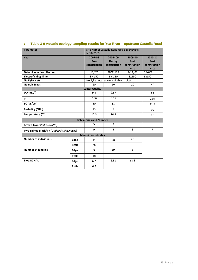| <b>Parameter</b>                           |               | Site Name: Castella Road GPS E 55361066; |                                       |                 |                 |
|--------------------------------------------|---------------|------------------------------------------|---------------------------------------|-----------------|-----------------|
|                                            |               | N 5847065                                |                                       |                 |                 |
| Year                                       |               | 2007-08                                  | 2008-09                               | 2009-10         | 2010-11         |
|                                            |               | Pre-                                     | <b>During</b>                         | Post            | Post            |
|                                            |               | construction                             | construction                          | construction    | construction    |
|                                            |               |                                          |                                       | yr <sub>1</sub> | yr <sub>2</sub> |
| Date of sample collection                  |               | 11/07                                    | 20/11/08                              | 2/11/09         | 15/6/11         |
| <b>Electrofishing Time</b>                 |               | 8 x 150                                  | 8 x 150                               | 8x150           | 8x150           |
| <b>No Fyke Nets</b>                        |               |                                          | No Fyke nets set - unsuitable habitat |                 |                 |
| <b>No Bait Traps</b>                       |               | 10                                       | 10                                    | 10              | <b>NA</b>       |
|                                            |               | <b>Water Quality</b>                     |                                       |                 |                 |
| DO(mg/l)                                   |               | 9.3                                      | 9.67                                  |                 | 8.9             |
| pH                                         |               | 7.06                                     | 6.05                                  |                 | 7.03            |
| $EC$ ( $\mu s/cm$ )                        |               | 50                                       | 58                                    |                 | 41.2            |
| <b>Turbidity (NTU)</b>                     |               | 13                                       | $\overline{7}$                        |                 | 10              |
| Temperature (°C)                           |               | 12.3                                     | 16.4                                  |                 | 8.9             |
|                                            |               | <b>Fish Species and Number</b>           |                                       |                 |                 |
| <b>Brown Trout (Salmo trutta)</b>          |               | 5                                        | 3                                     |                 | 5               |
| Two-spined Blackfish (Gadopsis bispinosus) |               | 9                                        | 5                                     | 3               | $\overline{7}$  |
|                                            |               | <b>Macroinvertebrates</b>                |                                       |                 |                 |
| <b>Number of individuals</b>               | Edge          | 34                                       | 88                                    | 20              |                 |
|                                            | <b>Riffle</b> | 78                                       |                                       |                 |                 |
| <b>Number of families</b>                  | Edge          | 9                                        | 19                                    | 8               |                 |
|                                            | <b>Riffle</b> | 10                                       |                                       |                 |                 |
| <b>EPA SIGNAL</b>                          | Edge          | 6.2                                      | 6.81                                  | 6.88            |                 |
|                                            | <b>Riffle</b> | 6.7                                      |                                       |                 |                 |

# **Table 3-9 Aquatic ecology sampling results for Yea River – upstream Castella Road**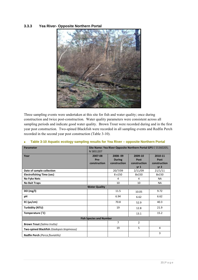#### **3.3.3 Yea River- Opposite Northern Portal**



Three sampling events were undertaken at this site for fish and water quality; once during construction and twice post-construction. Water quality parameters were consistent across all sampling periods and indicate good water quality. Brown Trout were recorded during and in the first year post construction. Two-spined Blackfish were recorded in all sampling events and Redfin Perch recorded in the second year post construction (Table 3-10).

#### **Table 3-10 Aquatic ecology sampling results for Yea River – opposite Northern Portal**

| Parameter                                  | N 5851207    | Site Name: Yea River Opposite Northern Portal GPS E 55360205; |                |                 |  |  |
|--------------------------------------------|--------------|---------------------------------------------------------------|----------------|-----------------|--|--|
| Year                                       | 2007-08      | 2008-09                                                       | 2009-10        | 2010-11         |  |  |
|                                            | Pre-         | <b>During</b>                                                 | Post           | Post            |  |  |
|                                            | construction | construction                                                  | construction   | construction    |  |  |
|                                            |              |                                                               | $yr_1$         | yr <sub>2</sub> |  |  |
| Date of sample collection                  |              | 20/7/09                                                       | 2/11/09        | 21/1/11         |  |  |
| <b>Electrofishing Time (sec)</b>           |              | 8 x 150                                                       | 8x150          | 8x150           |  |  |
| <b>No Fyke Nets</b>                        |              | 4                                                             | 4              | <b>NA</b>       |  |  |
| <b>No Bait Traps</b>                       |              | 10                                                            | 10             | <b>NA</b>       |  |  |
| <b>Water Quality</b>                       |              |                                                               |                |                 |  |  |
| DO (mg/l)                                  |              | 11.5                                                          | 10.05          | 9.72            |  |  |
| рH                                         |              | 6.94                                                          | 6.62           | 6.62            |  |  |
| $EC$ ( $\mu s/cm$ )                        |              | 70.8                                                          | 52.9           | 40.3            |  |  |
| Turbidity (NTU)                            |              | 19                                                            | 12.8           | 21.9            |  |  |
| Temperature (°C)                           |              |                                                               | 13.1           | 15.2            |  |  |
| <b>Fish Species and Number</b>             |              |                                                               |                |                 |  |  |
| <b>Brown Trout (Salmo trutta)</b>          |              | $\overline{7}$                                                | $\overline{2}$ |                 |  |  |
| Two-spined Blackfish (Gadopsis bispinosus) |              | 19                                                            | 5              | 4               |  |  |
| Redfin Perch (Perca fluviatilis)           |              |                                                               |                | 3               |  |  |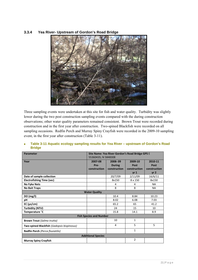#### **3.3.4 Yea River- Upstream of Gordon's Road Bridge**



Three sampling events were undertaken at this site for fish and water quality. Turbidity was slightly lower during the two post construction sampling events compared with the during construction observations; other water quality parameters remained consistent. Brown Trout were recorded during construction and in the first year after construction. Two-spined Blackfish were recorded on all sampling occasions. Redfin Perch and Murray Spiny Crayfish were recorded in the 2009-10 sampling event, in the first year after construction (Table 3-11).

#### **Table 3-11 Aquatic ecology sampling results for Yea River – upstream of Gordon's Road Bridge**

| <b>Parameter</b>                           | Site Name: Yea River Gordon's Road Bridge GPS E |               |                 |                 |  |
|--------------------------------------------|-------------------------------------------------|---------------|-----------------|-----------------|--|
|                                            | 55360435; N 5848308                             |               |                 |                 |  |
| Year                                       | 2007-08                                         | 2008-09       | 2009-10         | 2010-11         |  |
|                                            | Pre-                                            | <b>During</b> | Post            | Post            |  |
|                                            | construction                                    | construction  | construction    | construction    |  |
|                                            |                                                 |               | vr <sub>1</sub> | yr <sub>2</sub> |  |
| Date of sample collection                  |                                                 | 20/7/09       | 2/11/09         | 16/6/11         |  |
| <b>Electrofishing Time (sec)</b>           |                                                 | 8x150         | 8 x 150         | 8x150           |  |
| <b>No Fyke Nets</b>                        |                                                 | 4             | 4               | <b>NA</b>       |  |
| <b>No Bait Traps</b>                       |                                                 | 8             | 8               | <b>NA</b>       |  |
| <b>Water Quality</b>                       |                                                 |               |                 |                 |  |
| DO (mg/l)                                  |                                                 | 10.4          | 8.84            | 10.23           |  |
| рH                                         |                                                 | 8.02          | 6.08            | 7.03            |  |
| $EC$ ( $\mu s/cm$ )                        |                                                 | 65.2          | 65              | 41.2            |  |
| Turbidity (NTU)                            |                                                 | 24            | 15              | 10              |  |
| Temperature °C                             |                                                 | 15.8          | 14.1            | 8.9             |  |
|                                            | <b>Fish Species and Number</b>                  |               |                 |                 |  |
| <b>Brown Trout (Salmo trutta)</b>          |                                                 | 10            | $\mathbf{1}$    |                 |  |
| Two-spined Blackfish (Gadopsis bispinosus) |                                                 | 4             | 5               | 5               |  |
| Redfin Perch (Perca fluviatilis)           |                                                 |               | $\mathbf{1}$    |                 |  |
| <b>Additional Species</b>                  |                                                 |               |                 |                 |  |
| <b>Murray Spiny Crayfish</b>               |                                                 |               | $\overline{2}$  |                 |  |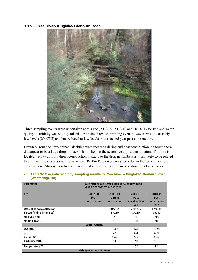#### **3.3.5 Yea River- Kinglake/ Glenburn Road**



Three sampling events were undertaken at this site (2008-09, 2009-10 and 2010-11) for fish and water quality. Turbidity was slightly raised during the 2009-10 sampling event however was still at fairly low levels (20 NTU) and had reduced to low levels in the second year post construction.

Brown t\Trout and Two-spined Blackfish were recorded during and post construction, although there did appear to be a large drop in blackfish numbers in the second year post construction. This site is located well away from direct construction impacts so the drop in numbers is most likely to be related to bushfire impacts or sampling variation. Redfin Perch were only recorded in the second year post construction. Murray Crayfish were recorded at this during and post construction (Table 3-12).

| Parameter                      | Site Name: Yea River Kinglake/Glenburn road<br>GPS E 553603227; N 5852723 |                                          |                                           |                                                    |  |
|--------------------------------|---------------------------------------------------------------------------|------------------------------------------|-------------------------------------------|----------------------------------------------------|--|
| Year                           | 2007-08<br>Pre-<br>construction                                           | 2008-09<br><b>During</b><br>construction | 2009-10<br>Post<br>construction<br>$yr_1$ | 2010-11<br>Post<br>construction<br>yr <sub>2</sub> |  |
| Date of sample collection      |                                                                           | 20/7/09                                  | 2/11/09                                   | 17/6/11                                            |  |
| Electrofishing Time (sec)      |                                                                           | 8 x 150                                  | 8x150                                     | 8x150                                              |  |
| <b>No Fyke Nets</b>            |                                                                           | 4                                        | 4                                         | NA.                                                |  |
| <b>No Bait Traps</b>           |                                                                           | 10                                       | 10                                        | NA.                                                |  |
|                                | <b>Water Quality</b>                                                      |                                          |                                           |                                                    |  |
| DO (mg/l)                      |                                                                           | 10.68                                    | <b>NA</b>                                 | 10.99                                              |  |
| рH                             |                                                                           | 7.5                                      | 6.4                                       | 6.74                                               |  |
| $EC$ ( $\mu s/cm$ )            |                                                                           | 59.7                                     | 71.3                                      | 52.2                                               |  |
| Turbidity (NTU)                |                                                                           | 11                                       | 20                                        | 12.5                                               |  |
| Temperature °C                 |                                                                           |                                          | 15.3                                      | 9.3                                                |  |
| <b>Fish Species and Number</b> |                                                                           |                                          |                                           |                                                    |  |

 **Table 3-12 Aquatic ecology sampling results for Yea River – Kinglake/ Glenburn Road (Westbridge Rd)**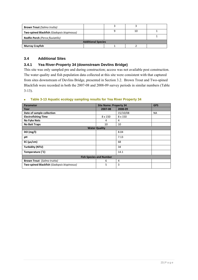| <b>Brown Trout</b> (Salmo trutta)          |  |  |    |  |  |  |
|--------------------------------------------|--|--|----|--|--|--|
| Two-spined Blackfish (Gadopsis bispinosus) |  |  | 10 |  |  |  |
| <b>Redfin Perch (Perca fluviatilis)</b>    |  |  |    |  |  |  |
| <b>Additional Species</b>                  |  |  |    |  |  |  |
| Murray Crayfish                            |  |  |    |  |  |  |

# **3.4 Additional Sites**

### **3.4.1 Yea River-Property 34 (downstream Devlins Bridge)**

This site was only sampled pre and during construction; access was not available post construction. The water quality and fish population data collected at this site were consistent with that captured from sites downstream of Devlins Bridge, presented in Section 3.2. Brown Trout and Two-spined Blackfish were recorded in both the 2007-08 and 2008-09 survey periods in similar numbers (Table 3-13).

### **Table 3-13 Aquatic ecology sampling results for Yea River Property 34**

| <b>Parameter</b>                           | <b>Site Name: Property 34</b> |          | <b>GPS</b> |  |  |  |
|--------------------------------------------|-------------------------------|----------|------------|--|--|--|
| Year                                       | 2007-08                       | 2008-09  |            |  |  |  |
| Date of sample collection                  |                               | 15/10/08 | <b>NA</b>  |  |  |  |
| <b>Electrofishing Time</b>                 | 8 x 150                       | 8 x 150  |            |  |  |  |
| <b>No Fyke Nets</b>                        | 4                             | 4        |            |  |  |  |
| <b>No Bait Traps</b>                       | 10                            | 10       |            |  |  |  |
|                                            | <b>Water Quality</b>          |          |            |  |  |  |
| DO (mg/l)                                  |                               | 8.04     |            |  |  |  |
| pH                                         |                               | 7.13     |            |  |  |  |
| $EC$ ( $\mu s/cm$ )                        |                               | 68       |            |  |  |  |
| Turbidity (NTU)                            |                               | 34       |            |  |  |  |
| Temperature (°C)                           |                               | 14.1     |            |  |  |  |
| <b>Fish Species and Number</b>             |                               |          |            |  |  |  |
| <b>Brown Trout</b> (Salmo trutta)          | 6                             | 4        |            |  |  |  |
| Two-spined Blackfish (Gadopsis bispinosus) | 5                             | 3        |            |  |  |  |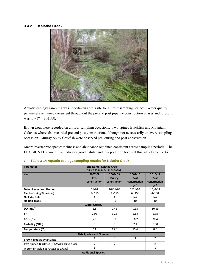#### **3.4.2 Kalatha Creek**



Aquatic ecology sampling was undertaken at this site for all four sampling periods. Water quality parameters remained consistent throughout the pre and post pipeline construction phases and turbidity was low  $(7 - 9$  NTU).

Brown trout were recorded on all four sampling occasions. Two-spined Blackfish and Mountain Galaxias where also recorded pre and post construction, although not neccessarily on every sampling occassion. Murray Spiny Crayfish were observed pre, during and post construction.

Macroinvertebrate species richness and abundance remained consistent across sampling periods. The EPA SIGNAL score of 6-7 indicates good habitat and low pollution levels at this site (Table 3-14).

| <b>Parameter</b>                           | Site Name: Kalatha Creek  |                |                 |                 |  |  |
|--------------------------------------------|---------------------------|----------------|-----------------|-----------------|--|--|
|                                            | GPS E 55363464; N 5859299 |                |                 |                 |  |  |
| Year                                       | 2007-08                   | 2008-09        | 2009-10         | 2010-11         |  |  |
|                                            | Pre-                      | <b>During</b>  | Post            | Post            |  |  |
|                                            | construction              | construction   | construction    | construction    |  |  |
|                                            |                           |                | yr <sub>1</sub> | yr <sub>2</sub> |  |  |
| Date of sample collection                  | 11/07                     | 20/11/08       | 2/11/09         | 16/6/11         |  |  |
| <b>Electrofishing Time (sec)</b>           | 8x 150                    | 8 x 150        | 6 x 150         | 4x150           |  |  |
| <b>No Fyke Nets</b>                        | 4                         | 4              | <b>NA</b>       | <b>NA</b>       |  |  |
| <b>No Bait Traps</b>                       | 10                        | 10             | 10              | 10              |  |  |
| <b>Water Quality</b>                       |                           |                |                 |                 |  |  |
| DO (mg/l)                                  | 8.8                       | 9.45           | 9.38            | 10.59           |  |  |
| рH                                         | 7.06                      | 6.28           | 6.14            | 6.88            |  |  |
| $EC$ ( $\mu s/cm$ )                        | 40                        | 38             | 56.2            | 38.4            |  |  |
| Turbidity (NTU)                            | 9                         | 9              | 7.1             | 5.50            |  |  |
| Temperature (°C)                           | 14                        | 15.8           | 15.6            | 8.0             |  |  |
| <b>Fish Species and Number</b>             |                           |                |                 |                 |  |  |
| <b>Brown Trout (Salmo trutta)</b>          | 4                         | 5              | 3               | $\overline{2}$  |  |  |
| Two-spined Blackfish (Gadopsis bispinosus) | $\overline{2}$            | $\overline{2}$ |                 | 5               |  |  |
| Mountain Galaxias (Galaxias olidus)        | $\mathbf{1}$              |                |                 | 1               |  |  |
|                                            | <b>Additional Species</b> |                |                 |                 |  |  |

#### **Table 3-14 Aquatic ecology sampling results for Kalatha Creek**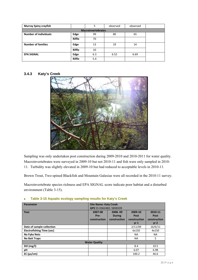| <b>Murray Spiny crayfish</b> |               | 5                         | observed | observed |  |
|------------------------------|---------------|---------------------------|----------|----------|--|
|                              |               | <b>Macroinvertebrates</b> |          |          |  |
| <b>Number of individuals</b> | Edge          | 99                        | 80       | 65       |  |
|                              | <b>Riffle</b> | 70                        |          |          |  |
| <b>Number of families</b>    | Edge          | 13                        | 19       | 14       |  |
|                              | <b>Riffle</b> | 10                        |          |          |  |
| <b>EPA SIGNAL</b>            | Edge          | 6.3                       | 6.52     | 6.69     |  |
|                              | <b>Riffle</b> | 5.4                       |          |          |  |

#### **3.4.3 Katy's Creek**



Sampling was only undertaken post construction during 2009-2010 and 2010-2011 for water quality. Macroinvertebrates were surveyed in 2009-10 but not 2010-11 and fish were only sampled in 2010- 11. Turbidity was slightly elevated in 2009-10 but had reduced to acceptable levels in 2010-11.

Brown Trout, Two-spined Blackfish and Mountain Galaxias were all recorded in the 2010-11 survey.

Macroinvertebrate species richness and EPA SIGNAL score indicate poor habitat and a disturbed environment (Table 3-15).

| Parameter                        | <b>Site Name: Katy Creek</b> |               |                 |                 |
|----------------------------------|------------------------------|---------------|-----------------|-----------------|
|                                  | GPS 55 0362482; 5858339      |               |                 |                 |
| Year                             | 2007-08                      | 2008-09       | 2009-10         | 2010-11         |
|                                  | Pre-                         | <b>During</b> | Post            | Post            |
|                                  | construction                 | construction  | construction    | construction    |
|                                  |                              |               | vr <sub>1</sub> | vr <sub>2</sub> |
| Date of sample collection        |                              |               | 2/11/09         | 16/6/11         |
| <b>Electrofishing Time (sec)</b> |                              |               | 6x150           | 4x150           |
| <b>No Fyke Nets</b>              |                              |               | NA.             | NA.             |
| <b>No Bait Traps</b>             |                              |               | <b>NA</b>       | 5               |
|                                  | <b>Water Quality</b>         |               |                 |                 |
| DO $(mg/l)$                      |                              |               | 8.4             | 10.5            |
| рH                               |                              |               | 6.07            | 6.98            |
| $EC$ ( $\mu s/cm$ )              |                              |               | 100.2           | 46.6            |

#### **Table 3-15 Aquatic ecology sampling results for Katy's Creek**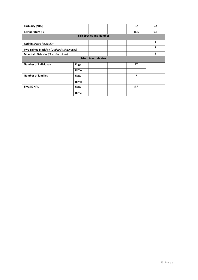| <b>Turbidity (NTU)</b>                     |               |                                | 32             | 5.4          |
|--------------------------------------------|---------------|--------------------------------|----------------|--------------|
| Temperature (°C)                           |               |                                | 16.6           | 9.1          |
|                                            |               | <b>Fish Species and Number</b> |                |              |
| <b>Red fin</b> (Perca fluviatilis)         |               |                                |                | $\mathbf{1}$ |
| Two-spined Blackfish (Gadopsis bispinosus) |               |                                |                | 9            |
| Mountain Galaxias (Galaxias olidus)        |               |                                |                | $\mathbf{1}$ |
|                                            |               | <b>Macroinvertebrates</b>      |                |              |
| <b>Number of individuals</b>               | Edge          |                                | 17             |              |
|                                            | <b>Riffle</b> |                                |                |              |
| <b>Number of families</b>                  | Edge          |                                | $\overline{7}$ |              |
|                                            | <b>Riffle</b> |                                |                |              |
| <b>EPA SIGNAL</b>                          | Edge          |                                | 5.7            |              |
|                                            | Riffle        |                                |                |              |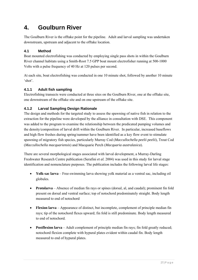# **4. Goulburn River**

The Goulburn River is the offtake point for the pipeline. Adult and larval sampling was undertaken downstream, upstream and adjacent to the offtake location.

# **4.1 Method**

Boat mounted electrofishing was conducted by employing single pass shots in within the Goulburn River channel habitats using a Smith-Root 7.5 GPP boat mount electrofisher running at 500-1000 Volts with a pulse frequency of 40 Hz at 120 pulses per second.

At each site, boat electrofishing was conducted in one 10 minute shot, followed by another 10 minute 'shot'.

# **4.1.1 Adult fish sampling**

Electrofishing transects were conducted at three sites on the Goulburn River, one at the offtake site, one downstream of the offtake site and on one upstream of the offtake site.

# **4.1.2 Larval Sampling Design Rationale**

The design and methods for the targeted study to assess the spawning of native fish in relation to the extraction for the pipeline were developed by the alliance in consultation with DSE. This component was added to the program to examine the relationship between the predicated pumping volumes and the density/composition of larval drift within the Goulburn River. In particular, increased baseflows and high flow freshes during spring/summer have been identified as a key flow event to stimulate spawning of migratory fish species, particularly Murray Cod (*Maccullochella peelii peelii*), Trout Cod (*Maccullochella macquariensis*) and Macquarie Perch (*Macquaria australasica*).

There are several morphological stages associated with larval development, a Murray-Darling Freshwater Research Centre publication (Serafini *et al.* 2004) was used in this study for larval stage identification and nomenclature purposes. The publication includes the following larval life stages:

- **Yolk-sac larva** Free-swimming larva showing yolk material as a ventral sac, including oil globules.
- **Protolarva** Absence of median fin rays or spines (dorsal, al, and caudal); prominent fin fold present on dorsal and ventral surface; top of notochord predominately straight. Body length measured to end of notochord
- **Flexion larva** Appearance of distinct, but incomplete, complement of principle median fin rays; tip of the notochord flexes upward; fin fold is still predominate. Body length measured to end of notochord.
- **Postflexion larva** Adult complement of principle median fin rays; fin fold greatly reduced; notochord flexion complete with hypural plates evident within caudal fin. Body length measured to end of hypural plates.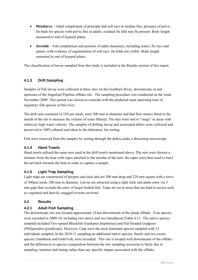- **Metalarva** Adult compliment of principle and soft rays in median fins; presence of pelvic fin buds for species with pelvic fins in adults; residual fin fold may be present. Body length measured to end of hypural plates.
- **Juvenile** Full complement and position of adult characters, including scales, fin rays and spines, with evidence of segmentation of soft rays; fin folds not visible. Body length measured to end of hypural plates.

The classification of larvae sampled from this study is included in the Results section of this report.

# **4.1.3 Drift Sampling**

Samples of fish larvae were collected at three sites on the Goulburn River, downstream, at and upstream of the Sugarloaf Pipeline offtake site. The sampling procedure was conducted on the week November 2009. This period was chosen to coincide with the predicted main spawning time of migratory fish species of this river.

The drift nets consisted of 250 μm mesh, were 500 mm in diameter and had flow meters fitted to the mouth of the net to measure the volume of water filtered. The nets were tied to "snags" in areas with relatively high water velocity. The samples of drifting larvae and associated debris were collected and preserved in 100% ethanol and taken to the laboratory for sorting.

Fish were removed from the samples by sorting through the debris under a dissecting microscope.

### **4.1.4 Hand Trawls**

Hand trawls utilised the same nets used in the drift trawls mentioned above. The nets were thrown a distance from the boat with ropes attached to the mouths of the nets; the ropes were then used to trawl the net back towards the boat in order to capture a sample.

### **4.1.5 Light Trap Sampling**

Light traps are constructed of perspex and steel and are 300 mm deep and 220 mm square with a sieve of 200μm mesh, 200 mm in diameter. Larvae are attracted using a light stick and attain entry via 5 mm gaps that exclude the entry of larger bodied fish. Traps are set in areas that are hard to access such as vegetated and heavily snagged riverine environs.

#### **4.2 Results**

### **4.2.1 Adult Fish Sampling**

The downstream site was located approximate 10 km downstream of the pump offtake. Four species were recorded in 2009-10, including two native and two introduced (Table 4-1). The native species sampled included Two-spined Blackfish (*Gadopsis bispinosus)* and Flat Headed Gudgeon (*Philypnodon grandiceps*). However, Carp were the most dominant species sampled with 15 individuals sampled. In the 2010-11 sampling an additional native species, Smelt, and two exotic species, Gambusia and Gold Fish, were recorded. This site is located well downstream of the offtake and the differences in species composition between the two sampling occasions is likely due to sampling variation and timing rather than any specific impact associated with the offtake.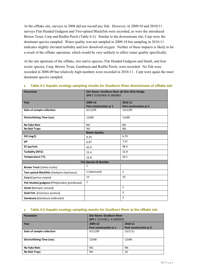At the offtake site, surveys in 2008 did not record any fish. However, in 2009/10 and 2010/11 surveys Flat Headed Gudgeon and Two-spined Blackfish were recorded, as were the introduced Brown Trout, Carp and Redfin Perch (Table 4-2). Similar to the downstream site, Carp were the dominant species sampled. Water quality was not sampled in 2009-10 but sampling in 2010-11 indicates slightly elevated turbidity and low dissolved oxygen. Neither of these impacts is likely to be a result of the offtake operation, which would be very unlikely to affect water quality specifically.

At the site upstream of the offtake, two native species, Flat Headed Gudgeon and Smelt, and four exotic species, Carp, Brown Trout, Gambusia and Redfin Perch, were recorded. No fish were recorded in 2008-09 but relatively high numbers were recorded in 2010-11. Carp were again the most dominant species sampled.

| <b>Parameter</b>                             | Site Name: Goulburn River @ Ghin Ghin Bridge |                        |  |
|----------------------------------------------|----------------------------------------------|------------------------|--|
|                                              | GPS E 55355468; N 5883883                    |                        |  |
| Year                                         | 2009-10                                      | 2010-11                |  |
|                                              | Post construction yr 1                       | Post construction yr 2 |  |
| Date of sample collection                    | 6/11/09                                      | 23/1/09                |  |
| <b>Electrofishing Time (sec)</b>             | 12x90                                        | 12x90                  |  |
| <b>No Fyke Nets</b>                          | <b>NA</b>                                    | <b>NA</b>              |  |
| <b>No Bait Traps</b>                         | <b>NA</b>                                    | <b>NA</b>              |  |
|                                              | <b>Water Quality</b>                         |                        |  |
| DO(mg/l)                                     | 9.24                                         | 6.79                   |  |
| рH                                           | 6.87                                         | 7.47                   |  |
| $EC$ ( $\mu s/cm$ )                          | 42.9                                         | 38.4                   |  |
| <b>Turbidity (NTU)</b>                       | 15.4                                         | 15.9                   |  |
| Temperature (°C)                             | 16.8                                         | 24.1                   |  |
|                                              | <b>Fish Species &amp; Number</b>             |                        |  |
| <b>Brown Trout (Salmo trutta)</b>            | 1                                            |                        |  |
| Two-spined Blackfish (Gadopsis bispinosus)   | 1 (observed)                                 | $\mathbf{1}$           |  |
| Carp (Cyprinus carpio)                       | 15                                           | 19                     |  |
| Flat Headed gudgeon (Philypnodon grandiceps) | 1                                            |                        |  |
| Smelt (Retropin semoni)                      |                                              | $\mathbf{1}$           |  |
| <b>Gold Fish (Carassius auratus)</b>         |                                              | 3                      |  |
| Gambusia (Gambusia holbrookii)               |                                              | $\overline{2}$         |  |

#### **Table 4-1 Aquatic ecology sampling results for Goulburn River downstream of offtake site**

#### **Table 4-2 Aquatic ecology sampling results for Goulburn River at the offtake site**

| Parameter                        | <b>Site Name: Goulburn River</b><br>GPS E 55359811; N 5885819 |                        |  |
|----------------------------------|---------------------------------------------------------------|------------------------|--|
| Year                             | 2009-10<br>2010-11                                            |                        |  |
|                                  | Post construction yr 1                                        | Post construction yr 2 |  |
| Date of sample collection        | 4/11/09                                                       | 23/1/11                |  |
| <b>Electrofishing Time (sec)</b> | 12x90                                                         | 12x90                  |  |
| <b>No Fyke Nets</b>              | <b>NA</b>                                                     | <b>NA</b>              |  |
| <b>No Bait Traps</b>             | NA                                                            | 10                     |  |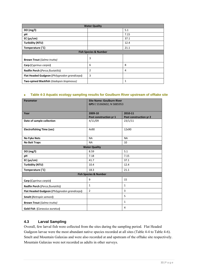| <b>Water Quality</b>                         |                                  |      |  |  |
|----------------------------------------------|----------------------------------|------|--|--|
| DO(mg/l)                                     |                                  | 5.1  |  |  |
| рH                                           |                                  | 7.15 |  |  |
| $EC$ ( $\mu s/cm$ )                          |                                  | 37.1 |  |  |
| Turbidity (NTU)                              |                                  | 12.4 |  |  |
| Temperature (°C)                             |                                  | 21.1 |  |  |
|                                              | <b>Fish Species &amp; Number</b> |      |  |  |
| <b>Brown Trout (Salmo trutta)</b>            | 3                                |      |  |  |
| Carp (Cyprinus carpio)                       | 6                                | 8    |  |  |
| <b>Redfin Perch (Perca fluviatilis)</b>      | 2                                | 4    |  |  |
| Flat Headed Gudgeon (Philygnodon grandiceps) | 3                                |      |  |  |
| Two-spined Blackfish (Gadopsis bispinosus)   |                                  | 1    |  |  |

#### **Table 4-3 Aquatic ecology sampling results for Goulburn River upstream of offtake site**

| Parameter                                    | <b>Site Name: Goulburn River</b> |                        |
|----------------------------------------------|----------------------------------|------------------------|
|                                              | GPS E 55360602; N 5885953        |                        |
|                                              |                                  |                        |
| Year                                         | 2009-10                          | 2010-11                |
|                                              | Post construction yr 1           | Post construction yr 2 |
| Date of sample collection                    | 4/11/09                          | 23/1/11                |
|                                              |                                  |                        |
| <b>Electrofishing Time (sec)</b>             | 4x90                             | 12x90                  |
|                                              |                                  |                        |
| <b>No Fyke Nets</b>                          | <b>NA</b>                        | <b>NA</b>              |
| <b>No Bait Traps</b>                         | <b>NA</b>                        | 10                     |
|                                              | <b>Water Quality</b>             |                        |
| DO (mg/l)                                    | 8.59                             | 5.1                    |
| рH                                           | 7.18                             | 7.15                   |
| $EC$ ( $\mu s/cm$ )                          | 41.7                             | 37.1                   |
| Turbidity (NTU)                              | 10.4                             | 12.4                   |
| Temperature (°C)                             | 18.3                             | 21.1                   |
|                                              | <b>Fish Species &amp; Number</b> |                        |
| Carp (Cyprinus carpio)                       | 9                                | 15                     |
| Redfin Perch (Perca fluviatilis)             | $\mathbf{1}$                     | $\mathbf{1}$           |
| Flat Headed Gudgeon (Philygnodon grandiceps) | $\overline{2}$                   | 3                      |
| Smelt (Retropin semoni)                      |                                  | 5                      |
| <b>Brown Trout (Salmo trutta)</b>            |                                  | $\mathbf{1}$           |
| <b>Gold Fish (Carassius auratus)</b>         |                                  | 4                      |

### **4.3 Larval Sampling**

Overall, few larval fish were collected from the sites during the sampling period. Flat Headed Gudgeon larvae were the most abundant native species recorded at all sites (Table 4-4 to Table 4-6). Smelt and Mountain Galaxias and were also recorded at and upstream of the offtake site respectively. Mountain Galaxias were not recorded as adults in other surveys.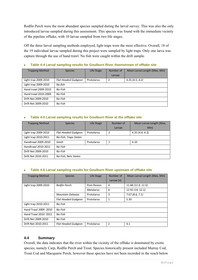Redfin Perch were the most abundant species sampled during the larval survey. This was also the only introduced larvae sampled during this assessment. This species was found with the immediate vicinity of the pipeline offtake, with 10 larvae sampled from two life stages.

Off the three larval sampling methods employed, light traps were the most effective. Overall, 18 of the 19 individual larvae sampled during this project were sampled by light traps. Only one larva was capture through the use of hand trawl. No fish were caught within the drift sample.

| <b>Trapping Method</b> | <b>Species</b>             | Life Stage | Number of<br>Larvae | Mean Larval Length (Max, Min) |
|------------------------|----------------------------|------------|---------------------|-------------------------------|
| Light trap 2009-2010   | <b>Flat Headed Gudgeon</b> | Protolarva | 2                   | 4.35(4.5, 4.2)                |
| Light trap 2009-2010   | No fish                    |            |                     |                               |
| Hand trawl 2009-2010   | No Fish                    |            |                     |                               |
| Hand trawl 2010-2009   | No Fish                    |            |                     |                               |
| Drift Net 2009-2010    | No Fish                    |            |                     |                               |
| Drift Net 2009-2010    | No Fish                    |            |                     |                               |

#### **Table 4-4 Larval sampling results for Goulburn River downstream of offtake site**

#### **Table 4-5 Larval sampling results for Goulburn River at the offtake site**

| <b>Trapping Method</b> | <b>Species</b>             | Life Stage | Number of | Mean Larval Length (Max, |
|------------------------|----------------------------|------------|-----------|--------------------------|
|                        |                            |            | Larvae    | Min)                     |
| Light trap 2009-2010   | <b>Flat Headed Gudgeon</b> | Protolarva | 2         | 4.35(4.4, 4.3)           |
| Light trap 2010-2011   | No Fish, Traps Stolen      |            |           |                          |
| Handtrawl 2009-2010    | Smelt                      | Protolarva |           | 6.10                     |
| Handtrawl 2010-2011    | No Fish                    |            |           |                          |
| Drift Net 2009-2010    | No Fish                    |            |           |                          |
| Drift Net 2010-2011    | No Fish, Nets Stolen       |            |           |                          |

#### **Table 4-6 Larval sampling results for Goulburn River upstream of offtake site**

| <b>Trapping Method</b> | <b>Species</b>             | Life Stage   | Number of      | Mean Larval Length (Max, Min) |
|------------------------|----------------------------|--------------|----------------|-------------------------------|
|                        |                            |              | Larvae $(n)$   |                               |
| Light trap 2009-2010   | <b>Redfin Perch</b>        | Post-flexion | 4              | 11.68 (11.9, 11.5)            |
|                        |                            | Metalarva    | 6              | 12.92 (14, 12.1)              |
|                        | <b>Mountain Galaxias</b>   | Protolarva   | 3              | 7.67(8.6, 7.1)                |
|                        | <b>Flat Headed Gudgeon</b> | Protolarva   | 1              | 5.30                          |
| Light trap 2010-2011   | No Fish                    |              |                |                               |
| Hand Trawl 2009 -2010  | No Fish                    |              |                |                               |
| Hand Trawl 2010 - 2011 | No Fish                    |              |                |                               |
| Drift Net 2009-2010    | No Fish                    |              |                |                               |
| Drift Net 2010-2011    | <b>Flat Headed Gudgeon</b> | Protolarva   | $\mathfrak{p}$ | 4.1                           |

#### **4.4 Summary**

Overall, the data indicates that the river within the vicinity of the offtake is dominated by exotic species, namely Carp, Redfin Perch and Trout. Species historically present included Murray Cod, Trout Cod and Macquarie Perch, however these species have not been recorded in the reach below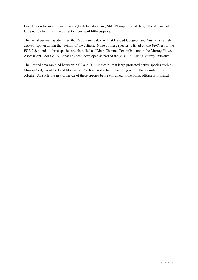Lake Eildon for more than 30 years (DSE fish database, MAFRI unpublished data). The absence of large native fish from the current survey is of little surprise.

The larval survey has identified that Mountain Galaxias, Flat Headed Gudgeon and Australian Smelt actively spawn within the vicinity of the offtake. None of these species is listed on the *FFG Act* or the *EPBC Act*, and all three species are classified as "Main Channel Generalist" under the Murray Flows Assessment Tool (MFAT) that has been developed as part of the MDBC's Living Murray Initiative.

The limited data sampled between 2009 and 2011 indicates that large protected native species such as Murray Cod, Trout Cod and Macquarie Perch are not actively breeding within the vicinity of the offtake. As such, the risk of larvae of these species being entrained in the pump offtake is minimal.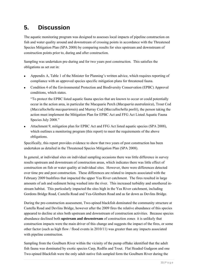# **5. Discussion**

The aquatic monitoring program was designed to assesses local impacts of pipeline construction on fish and water quality around and downstream of crossing points in accordance with the Threatened Species Mitigation Plan (SPA 2008) by comparing results for sites upstream and downstream of construction points prior to, during and after construction.

Sampling was undertaken pre-during and for two years post construction. This satisfies the obligations as set out in:

- Appendix A, Table 1 of the Minister for Planning's written advice, which requires reporting of compliance with an approved species specific mitigation plans for threatened fauna.
- Condition 4 of the Environmental Protection and Biodiversity Conservation (EPBC) Approval conditions, which states.

"To protect the EPBC listed aquatic fauna species that are known to occur or could potentially occur in the action area, in particular the Macquarie Perch (*Macquaria australasica*), Trout Cod (*Maccullochella macquariensis*) and Murray Cod (*Maccullochella peelii*), the person taking the action must implement the Mitigation Plan for EPBC Act and FFG Act Listed Aquatic Fauna Species July 2008."

 Attachment 9, mitigation plan for EPBC Act and FFG Act listed aquatic species (SPA 2008), which outlines a monitoring program (this report) to meet the requirements of the above obligations.

Specifically, this report provides evidence to show that two years of post construction has been undertaken as detailed in the Threatened Species Mitigation Plan (SPA 2008).

In general, at individual sites on individual sampling occasions there was little difference in survey results upstream and downstream of construction areas, which indicates there was little effect of construction on fish or water quality at individual sites. However, there were differences detected over time pre and post construction. These differences are related to impacts associated with the February 2009 bushfires that impacted the upper Yea River catchment. The fires resulted in large amounts of ash and sediment being washed into the river. This increased turbidity and smothered instream habitat. This particularly impacted the sites high in the Yea River catchment, including Gordons Bridge Road, Castella Road and Yea-Glenburn Road and as far down as Devlins Bridge.

During the pre-construction assessment, Two-spined blackfish dominated the community structure at Castella Road and Devlins Bridge, however after the 2009 fires the relative abundance of this species appeared to decline at sites both upstream and downstream of construction activities. Because species abundance declined both **upstream and downstream** of construction zones it is unlikely that construction impacts were the main driver of this change and suggests the impact of the fires, or some other factor (such as high flow / flood events in 2010/11) was greater than any impacts associated with pipeline construction.

Sampling from the Goulburn River within the vicinity of the pump offtake identified that the adult fish fauna was dominated by exotic species Carp, Redfin and Trout. Flat Headed Gudgeon and one Two-spined Blackfish were the only adult native fish sampled form the Goulburn River during the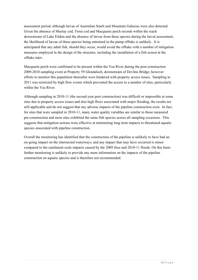assessment period, although larvae of Australian Smelt and Mountain Galaxias were also detected. Given the absence of Murray cod, Trout cod and Macquarie perch records within the reach downstream of Lake Eildon and the absence of larvae from these species during the larval assessment, the likelihood of larvae of these species being entrained in the pump offtake is unlikely. It is anticipated that any adult fish, should they occur, would avoid the offtake with a number of mitigation measures employed in the design of the structure, including the installation of a fish screen at the offtake inlet.

Macquarie perch were confirmed to be present within the Yea River during the post-construction 2009-2010 sampling event at Property 59 Glendaloch, downstream of Devlins Bridge; however efforts to monitor this population thereafter were hindered with property access issues. Sampling in 2011 was restricted by high flow events which prevented the access to a number of sites, particularly within the Yea River.

Although sampling in 2010-11 (the second year post construction) was difficult or impossible at some sites due to property access issues and also high flows associated with major flooding, the results are still applicable and do not suggest that any adverse impacts of the pipeline construction exist. In fact, for sites that were sampled in 2010-11, many water quality variables are similar to those measured pre-construction and most sites exhibited the same fish species across all sampling occasions. This suggests that mitigation actions were effective at minimising long term impacts to threatened aquatic species associated with pipeline construction.

Overall the monitoring has identified that the construction of the pipeline is unlikely to have had an on-going impact on the intersected waterways, and any impact that may have occurred is minor compared to the catchment scale impacts caused by the 2009 fires and 2010-11 floods. On this basis further monitoring is unlikely to provide any more information on the impacts of the pipeline construction on aquatic species and is therefore not recommended.